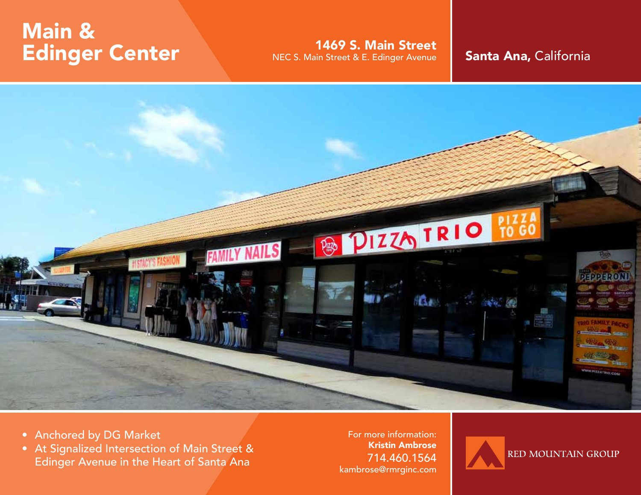## Main & Edinger Center

1469 S. Main Street NEC S. Main Street & E. Edinger Avenue **Santa Ana, California** 



- Anchored by DG Market
- At Signalized Intersection of Main Street & Edinger Avenue in the Heart of Santa Ana

For more information: Kristin Ambrose 714.460.1564 kambrose@rmrginc.com

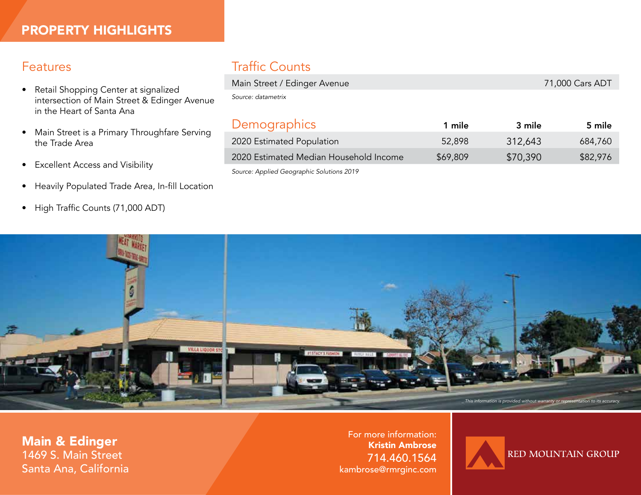## Features

- Retail Shopping Center at signalized intersection of Main Street & Edinger Avenue in the Heart of Santa Ana
- Main Street is a Primary Throughfare Serving the Trade Area
- Excellent Access and Visibility
- Heavily Populated Trade Area, In-fill Location
- High Traffic Counts (71,000 ADT)

## Traffic Counts

| Main Street / Edinger Avenue              |          | 71,000 Cars ADT |          |
|-------------------------------------------|----------|-----------------|----------|
| Source: datametrix                        |          |                 |          |
|                                           |          |                 |          |
| Demographics                              | 1 mile   | 3 mile          | 5 mile   |
| 2020 Estimated Population                 | 52,898   | 312,643         | 684,760  |
| 2020 Estimated Median Household Income    | \$69,809 | \$70,390        | \$82,976 |
| Source: Applied Geographic Solutions 2019 |          |                 |          |



Main & Edinger 1469 S. Main Street Santa Ana, California

For more information: Kristin Ambrose 714.460.1564 kambrose@rmrginc.com

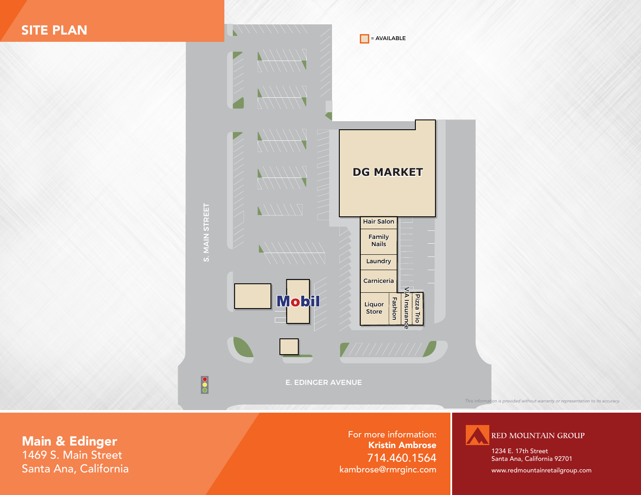

Main & Edinger 1469 S. Main Street Santa Ana, California

For more information: Kristin Ambrose 714.460.1564 kambrose@rmrginc.com



1234 E. 17th Street Santa Ana, California 92701

www.redmountainretailgroup.com